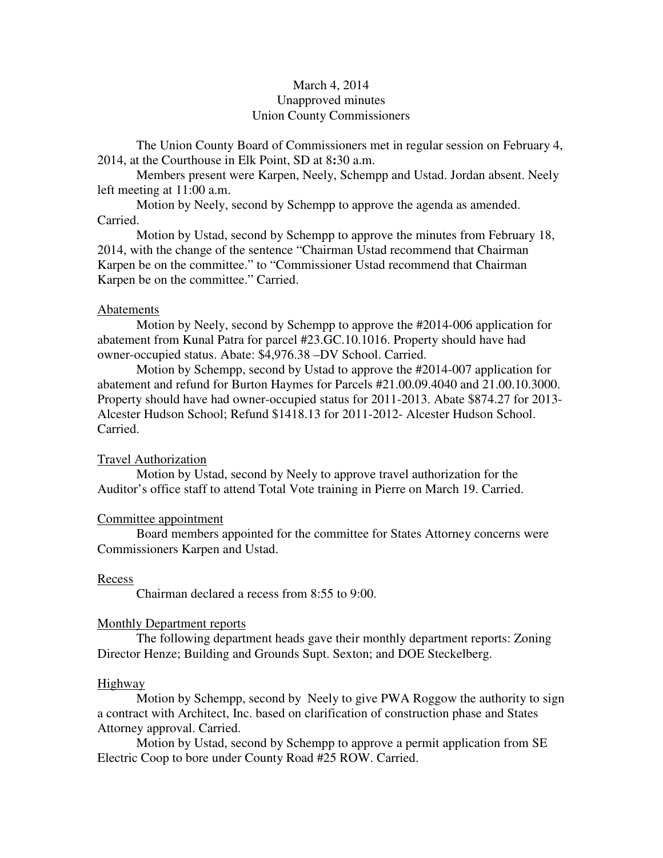# March 4, 2014 Unapproved minutes Union County Commissioners

The Union County Board of Commissioners met in regular session on February 4, 2014, at the Courthouse in Elk Point, SD at 8**:**30 a.m.

 Members present were Karpen, Neely, Schempp and Ustad. Jordan absent. Neely left meeting at 11:00 a.m.

 Motion by Neely, second by Schempp to approve the agenda as amended. Carried.

 Motion by Ustad, second by Schempp to approve the minutes from February 18, 2014, with the change of the sentence "Chairman Ustad recommend that Chairman Karpen be on the committee." to "Commissioner Ustad recommend that Chairman Karpen be on the committee." Carried.

# Abatements

 Motion by Neely, second by Schempp to approve the #2014-006 application for abatement from Kunal Patra for parcel #23.GC.10.1016. Property should have had owner-occupied status. Abate: \$4,976.38 –DV School. Carried.

 Motion by Schempp, second by Ustad to approve the #2014-007 application for abatement and refund for Burton Haymes for Parcels #21.00.09.4040 and 21.00.10.3000. Property should have had owner-occupied status for 2011-2013. Abate \$874.27 for 2013- Alcester Hudson School; Refund \$1418.13 for 2011-2012- Alcester Hudson School. Carried.

# Travel Authorization

 Motion by Ustad, second by Neely to approve travel authorization for the Auditor's office staff to attend Total Vote training in Pierre on March 19. Carried.

#### Committee appointment

 Board members appointed for the committee for States Attorney concerns were Commissioners Karpen and Ustad.

### Recess

Chairman declared a recess from 8:55 to 9:00.

#### Monthly Department reports

 The following department heads gave their monthly department reports: Zoning Director Henze; Building and Grounds Supt. Sexton; and DOE Steckelberg.

#### Highway

 Motion by Schempp, second by Neely to give PWA Roggow the authority to sign a contract with Architect, Inc. based on clarification of construction phase and States Attorney approval. Carried.

 Motion by Ustad, second by Schempp to approve a permit application from SE Electric Coop to bore under County Road #25 ROW. Carried.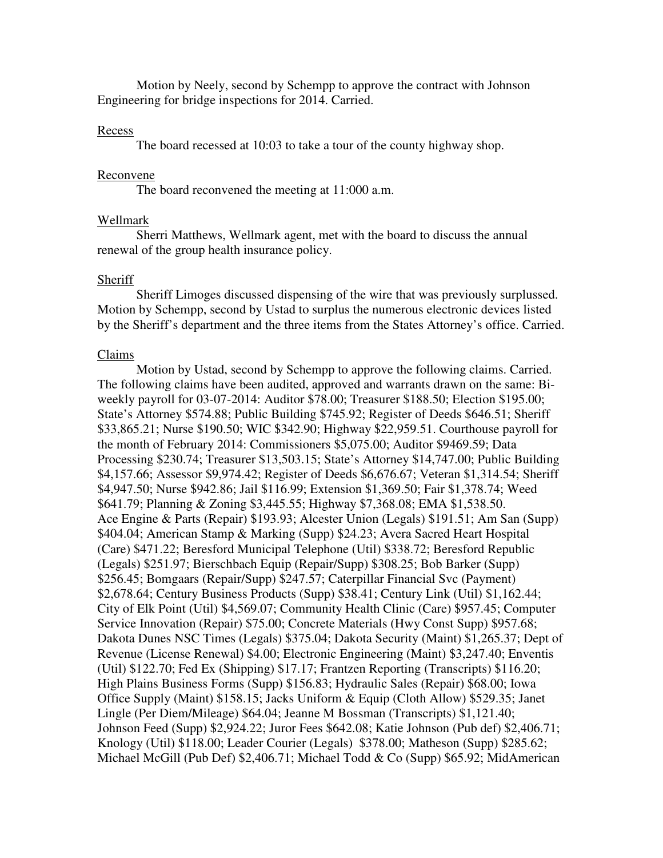Motion by Neely, second by Schempp to approve the contract with Johnson Engineering for bridge inspections for 2014. Carried.

# Recess

The board recessed at 10:03 to take a tour of the county highway shop.

# Reconvene

The board reconvened the meeting at 11:000 a.m.

## Wellmark

 Sherri Matthews, Wellmark agent, met with the board to discuss the annual renewal of the group health insurance policy.

#### Sheriff

 Sheriff Limoges discussed dispensing of the wire that was previously surplussed. Motion by Schempp, second by Ustad to surplus the numerous electronic devices listed by the Sheriff's department and the three items from the States Attorney's office. Carried.

#### Claims

 Motion by Ustad, second by Schempp to approve the following claims. Carried. The following claims have been audited, approved and warrants drawn on the same: Biweekly payroll for 03-07-2014: Auditor \$78.00; Treasurer \$188.50; Election \$195.00; State's Attorney \$574.88; Public Building \$745.92; Register of Deeds \$646.51; Sheriff \$33,865.21; Nurse \$190.50; WIC \$342.90; Highway \$22,959.51. Courthouse payroll for the month of February 2014: Commissioners \$5,075.00; Auditor \$9469.59; Data Processing \$230.74; Treasurer \$13,503.15; State's Attorney \$14,747.00; Public Building \$4,157.66; Assessor \$9,974.42; Register of Deeds \$6,676.67; Veteran \$1,314.54; Sheriff \$4,947.50; Nurse \$942.86; Jail \$116.99; Extension \$1,369.50; Fair \$1,378.74; Weed \$641.79; Planning & Zoning \$3,445.55; Highway \$7,368.08; EMA \$1,538.50. Ace Engine & Parts (Repair) \$193.93; Alcester Union (Legals) \$191.51; Am San (Supp) \$404.04; American Stamp & Marking (Supp) \$24.23; Avera Sacred Heart Hospital (Care) \$471.22; Beresford Municipal Telephone (Util) \$338.72; Beresford Republic (Legals) \$251.97; Bierschbach Equip (Repair/Supp) \$308.25; Bob Barker (Supp) \$256.45; Bomgaars (Repair/Supp) \$247.57; Caterpillar Financial Svc (Payment) \$2,678.64; Century Business Products (Supp) \$38.41; Century Link (Util) \$1,162.44; City of Elk Point (Util) \$4,569.07; Community Health Clinic (Care) \$957.45; Computer Service Innovation (Repair) \$75.00; Concrete Materials (Hwy Const Supp) \$957.68; Dakota Dunes NSC Times (Legals) \$375.04; Dakota Security (Maint) \$1,265.37; Dept of Revenue (License Renewal) \$4.00; Electronic Engineering (Maint) \$3,247.40; Enventis (Util) \$122.70; Fed Ex (Shipping) \$17.17; Frantzen Reporting (Transcripts) \$116.20; High Plains Business Forms (Supp) \$156.83; Hydraulic Sales (Repair) \$68.00; Iowa Office Supply (Maint) \$158.15; Jacks Uniform & Equip (Cloth Allow) \$529.35; Janet Lingle (Per Diem/Mileage) \$64.04; Jeanne M Bossman (Transcripts) \$1,121.40; Johnson Feed (Supp) \$2,924.22; Juror Fees \$642.08; Katie Johnson (Pub def) \$2,406.71; Knology (Util) \$118.00; Leader Courier (Legals) \$378.00; Matheson (Supp) \$285.62; Michael McGill (Pub Def) \$2,406.71; Michael Todd & Co (Supp) \$65.92; MidAmerican